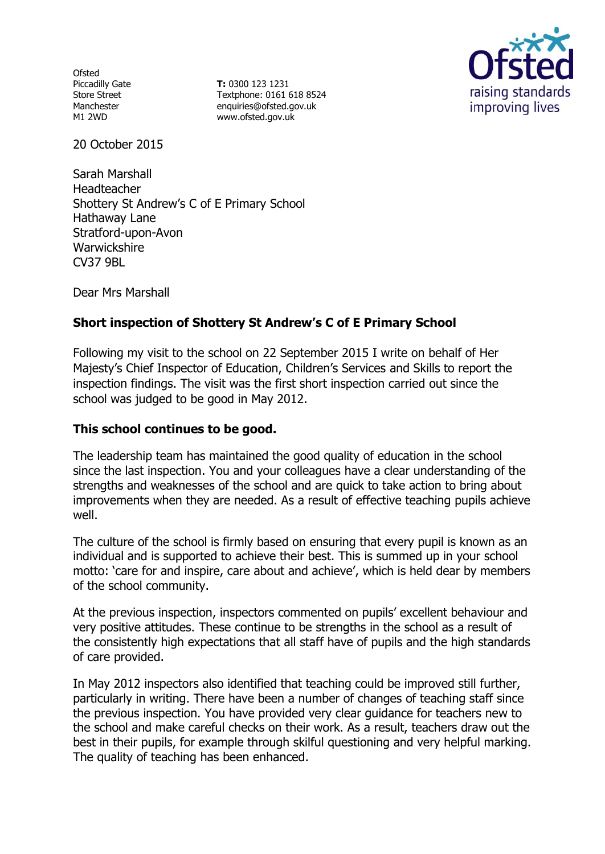Ofsted Piccadilly Gate Store Street Manchester M1 2WD

**T:** 0300 123 1231 Textphone: 0161 618 8524 enquiries@ofsted.gov.uk www.ofsted.gov.uk



20 October 2015

Sarah Marshall Headteacher Shottery St Andrew's C of E Primary School Hathaway Lane Stratford-upon-Avon **Warwickshire** CV37 9BL

Dear Mrs Marshall

# **Short inspection of Shottery St Andrew's C of E Primary School**

Following my visit to the school on 22 September 2015 I write on behalf of Her Majesty's Chief Inspector of Education, Children's Services and Skills to report the inspection findings. The visit was the first short inspection carried out since the school was judged to be good in May 2012.

## **This school continues to be good.**

The leadership team has maintained the good quality of education in the school since the last inspection. You and your colleagues have a clear understanding of the strengths and weaknesses of the school and are quick to take action to bring about improvements when they are needed. As a result of effective teaching pupils achieve well.

The culture of the school is firmly based on ensuring that every pupil is known as an individual and is supported to achieve their best. This is summed up in your school motto: 'care for and inspire, care about and achieve', which is held dear by members of the school community.

At the previous inspection, inspectors commented on pupils' excellent behaviour and very positive attitudes. These continue to be strengths in the school as a result of the consistently high expectations that all staff have of pupils and the high standards of care provided.

In May 2012 inspectors also identified that teaching could be improved still further, particularly in writing. There have been a number of changes of teaching staff since the previous inspection. You have provided very clear guidance for teachers new to the school and make careful checks on their work. As a result, teachers draw out the best in their pupils, for example through skilful questioning and very helpful marking. The quality of teaching has been enhanced.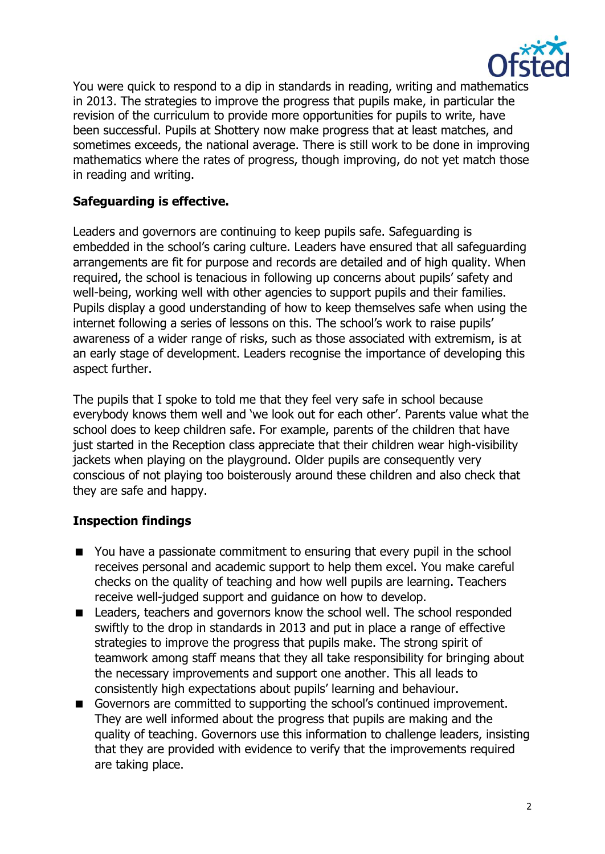

You were quick to respond to a dip in standards in reading, writing and mathematics in 2013. The strategies to improve the progress that pupils make, in particular the revision of the curriculum to provide more opportunities for pupils to write, have been successful. Pupils at Shottery now make progress that at least matches, and sometimes exceeds, the national average. There is still work to be done in improving mathematics where the rates of progress, though improving, do not yet match those in reading and writing.

## **Safeguarding is effective.**

Leaders and governors are continuing to keep pupils safe. Safeguarding is embedded in the school's caring culture. Leaders have ensured that all safeguarding arrangements are fit for purpose and records are detailed and of high quality. When required, the school is tenacious in following up concerns about pupils' safety and well-being, working well with other agencies to support pupils and their families. Pupils display a good understanding of how to keep themselves safe when using the internet following a series of lessons on this. The school's work to raise pupils' awareness of a wider range of risks, such as those associated with extremism, is at an early stage of development. Leaders recognise the importance of developing this aspect further.

The pupils that I spoke to told me that they feel very safe in school because everybody knows them well and 'we look out for each other'. Parents value what the school does to keep children safe. For example, parents of the children that have just started in the Reception class appreciate that their children wear high-visibility jackets when playing on the playground. Older pupils are consequently very conscious of not playing too boisterously around these children and also check that they are safe and happy.

#### **Inspection findings**

- You have a passionate commitment to ensuring that every pupil in the school receives personal and academic support to help them excel. You make careful checks on the quality of teaching and how well pupils are learning. Teachers receive well-judged support and guidance on how to develop.
- Leaders, teachers and governors know the school well. The school responded swiftly to the drop in standards in 2013 and put in place a range of effective strategies to improve the progress that pupils make. The strong spirit of teamwork among staff means that they all take responsibility for bringing about the necessary improvements and support one another. This all leads to consistently high expectations about pupils' learning and behaviour.
- Governors are committed to supporting the school's continued improvement. They are well informed about the progress that pupils are making and the quality of teaching. Governors use this information to challenge leaders, insisting that they are provided with evidence to verify that the improvements required are taking place.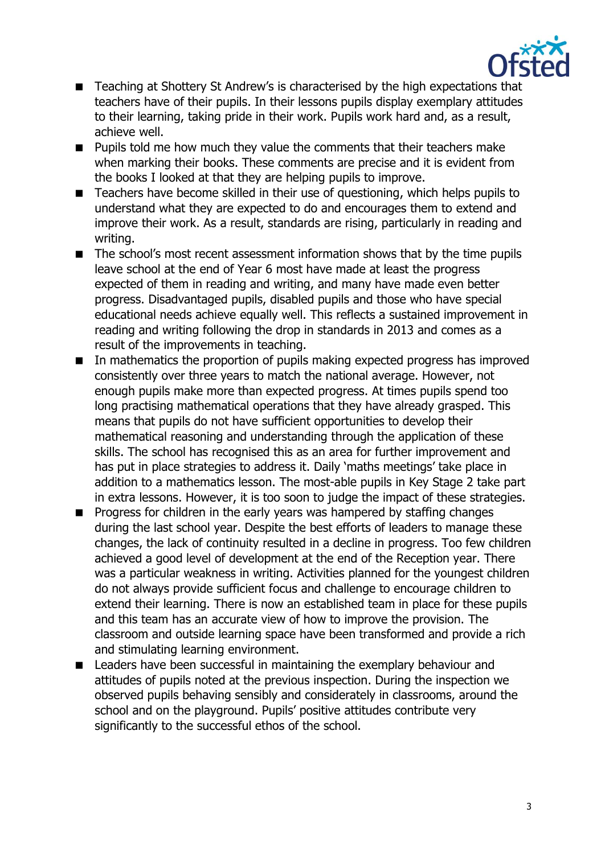

- Teaching at Shottery St Andrew's is characterised by the high expectations that teachers have of their pupils. In their lessons pupils display exemplary attitudes to their learning, taking pride in their work. Pupils work hard and, as a result, achieve well.
- $\blacksquare$  Pupils told me how much they value the comments that their teachers make when marking their books. These comments are precise and it is evident from the books I looked at that they are helping pupils to improve.
- Teachers have become skilled in their use of questioning, which helps pupils to understand what they are expected to do and encourages them to extend and improve their work. As a result, standards are rising, particularly in reading and writing.
- The school's most recent assessment information shows that by the time pupils leave school at the end of Year 6 most have made at least the progress expected of them in reading and writing, and many have made even better progress. Disadvantaged pupils, disabled pupils and those who have special educational needs achieve equally well. This reflects a sustained improvement in reading and writing following the drop in standards in 2013 and comes as a result of the improvements in teaching.
- In mathematics the proportion of pupils making expected progress has improved consistently over three years to match the national average. However, not enough pupils make more than expected progress. At times pupils spend too long practising mathematical operations that they have already grasped. This means that pupils do not have sufficient opportunities to develop their mathematical reasoning and understanding through the application of these skills. The school has recognised this as an area for further improvement and has put in place strategies to address it. Daily 'maths meetings' take place in addition to a mathematics lesson. The most-able pupils in Key Stage 2 take part in extra lessons. However, it is too soon to judge the impact of these strategies.
- **Progress for children in the early years was hampered by staffing changes** during the last school year. Despite the best efforts of leaders to manage these changes, the lack of continuity resulted in a decline in progress. Too few children achieved a good level of development at the end of the Reception year. There was a particular weakness in writing. Activities planned for the youngest children do not always provide sufficient focus and challenge to encourage children to extend their learning. There is now an established team in place for these pupils and this team has an accurate view of how to improve the provision. The classroom and outside learning space have been transformed and provide a rich and stimulating learning environment.
- Leaders have been successful in maintaining the exemplary behaviour and attitudes of pupils noted at the previous inspection. During the inspection we observed pupils behaving sensibly and considerately in classrooms, around the school and on the playground. Pupils' positive attitudes contribute very significantly to the successful ethos of the school.